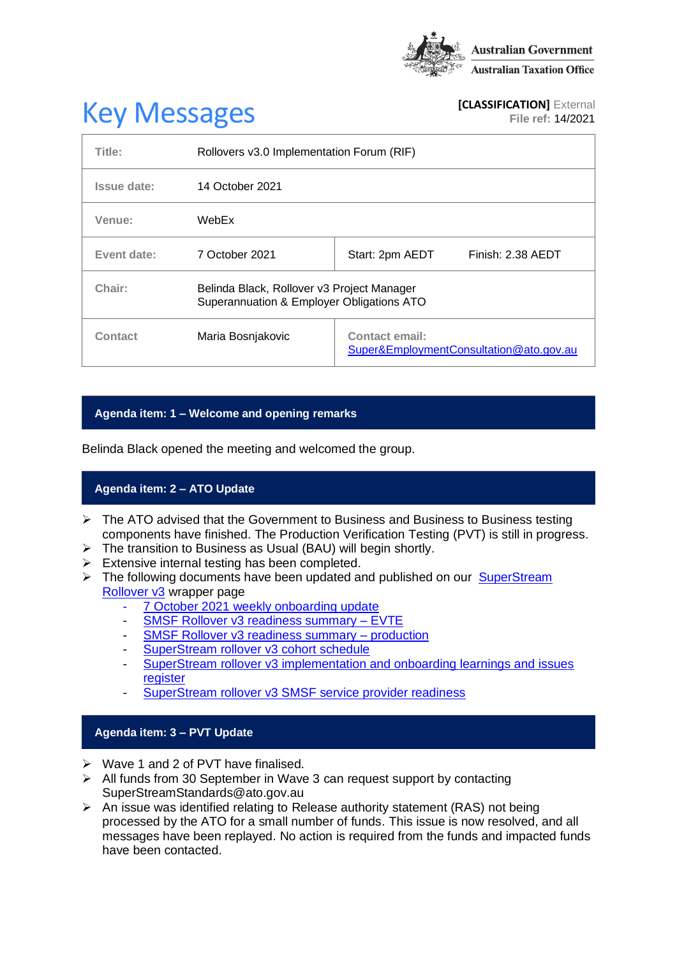

# **Key Messages [CLASSIFICATION]** External **[CLASSIFICATION]** External

**File ref:** 14/2021

| Title:      | Rollovers v3.0 Implementation Forum (RIF)                                               |                                                                  |
|-------------|-----------------------------------------------------------------------------------------|------------------------------------------------------------------|
| Issue date: | 14 October 2021                                                                         |                                                                  |
| Venue:      | WebEx                                                                                   |                                                                  |
| Event date: | 7 October 2021                                                                          | Finish: 2.38 AEDT<br>Start: 2pm AEDT                             |
| Chair:      | Belinda Black, Rollover v3 Project Manager<br>Superannuation & Employer Obligations ATO |                                                                  |
| Contact     | Maria Bosnjakovic                                                                       | <b>Contact email:</b><br>Super&EmploymentConsultation@ato.gov.au |

# **Agenda item: 1 – Welcome and opening remarks**

Belinda Black opened the meeting and welcomed the group.

# **Agenda item: 2 – ATO Update**

- $\triangleright$  The ATO advised that the Government to Business and Business to Business testing components have finished. The Production Verification Testing (PVT) is still in progress.
- ➢ The transition to Business as Usual (BAU) will begin shortly.
- ➢ Extensive internal testing has been completed.
- ➢ The following documents have been updated and published on our [SuperStream](https://www.ato.gov.au/Super/Sup/SuperStream-Rollover-v3/)  [Rollover v3](https://www.ato.gov.au/Super/Sup/SuperStream-Rollover-v3/) wrapper page
	- 7 October 2021 [weekly onboarding update](https://www.ato.gov.au/uploadedFiles/Content/SPR/downloads/7_October_2021.pdf)
	- [SMSF Rollover v3 readiness summary –](https://www.ato.gov.au/uploadedFiles/Content/SPR/downloads/SMSF_Rollover_v3_Readiness_Summary-EVTE.pdf) EVTE
	- [SMSF Rollover v3 readiness summary –](https://www.ato.gov.au/uploadedFiles/Content/SPR/downloads/smsf_rollover_v3_readiness_summary_production.pdf) production
	- [SuperStream rollover v3 cohort schedule](https://www.ato.gov.au/uploadedFiles/Content/SPR/downloads/SuperStream_Rollover_v3_Cohort_Schedule.pdf)
	- SuperStream [rollover v3 implementation and onboarding learnings and issues](https://www.ato.gov.au/uploadedFiles/Content/SPR/downloads/SuperStream_Rollovers_v3_Implementation_and_onboarding_learning_and_issues_register.pdf)  [register](https://www.ato.gov.au/uploadedFiles/Content/SPR/downloads/SuperStream_Rollovers_v3_Implementation_and_onboarding_learning_and_issues_register.pdf)
	- [SuperStream rollover v3 SMSF service provider readiness](https://www.ato.gov.au/uploadedFiles/Content/SPR/downloads/smsf_rollover_v3_readiness_summary_production.pdf)

#### **Agenda item: 3 – PVT Update**

- ➢ Wave 1 and 2 of PVT have finalised.
- ➢ All funds from 30 September in Wave 3 can request support by contacting SuperStreamStandards@ato.gov.au
- ➢ An issue was identified relating to Release authority statement (RAS) not being processed by the ATO for a small number of funds. This issue is now resolved, and all messages have been replayed. No action is required from the funds and impacted funds have been contacted.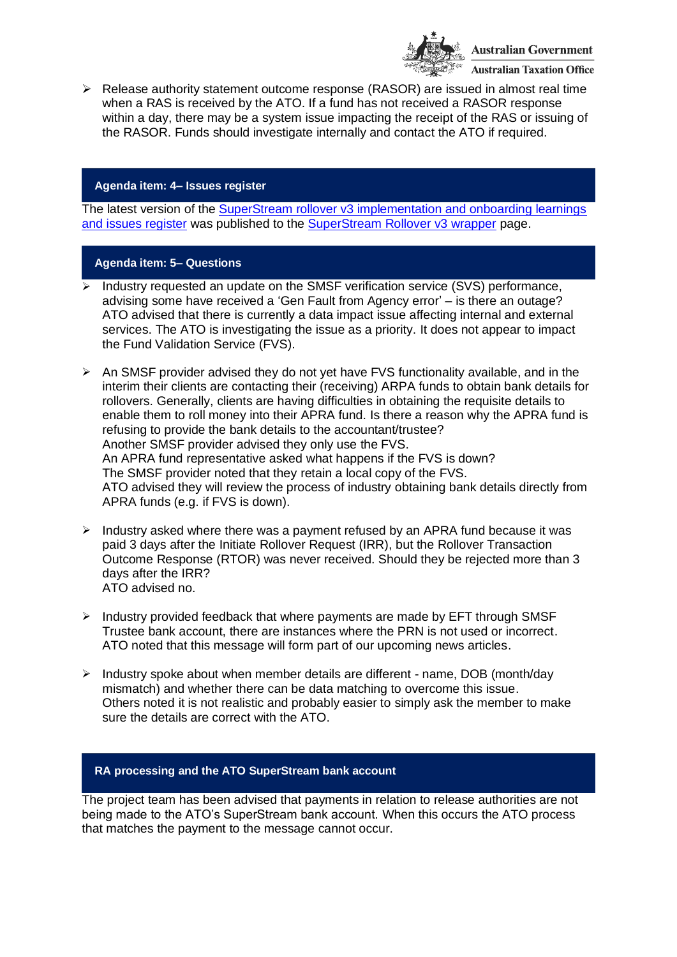

 $\triangleright$  Release authority statement outcome response (RASOR) are issued in almost real time when a RAS is received by the ATO. If a fund has not received a RASOR response within a day, there may be a system issue impacting the receipt of the RAS or issuing of the RASOR. Funds should investigate internally and contact the ATO if required.

## **Agenda item: 4– Issues register**

The latest version of the [SuperStream rollover v3 implementation and onboarding learnings](https://www.ato.gov.au/uploadedFiles/Content/SPR/downloads/SuperStream_Rollovers_v3_Implementation_and_onboarding_learning_and_issues_register.pdf)  [and issues register](https://www.ato.gov.au/uploadedFiles/Content/SPR/downloads/SuperStream_Rollovers_v3_Implementation_and_onboarding_learning_and_issues_register.pdf) was published to the [SuperStream Rollover v3 wrapper](https://www.ato.gov.au/Super/Sup/SuperStream-Rollover-v3/) page.

### **Agenda item: 5– Questions**

- $\overline{\triangleright}$  Industry requested an update on the SMSF verification service (SVS) performance, advising some have received a 'Gen Fault from Agency error' – is there an outage? ATO advised that there is currently a data impact issue affecting internal and external services. The ATO is investigating the issue as a priority. It does not appear to impact the Fund Validation Service (FVS).
- $\triangleright$  An SMSF provider advised they do not yet have FVS functionality available, and in the interim their clients are contacting their (receiving) ARPA funds to obtain bank details for rollovers. Generally, clients are having difficulties in obtaining the requisite details to enable them to roll money into their APRA fund. Is there a reason why the APRA fund is refusing to provide the bank details to the accountant/trustee? Another SMSF provider advised they only use the FVS. An APRA fund representative asked what happens if the FVS is down? The SMSF provider noted that they retain a local copy of the FVS. ATO advised they will review the process of industry obtaining bank details directly from APRA funds (e.g. if FVS is down).
- ➢ Industry asked where there was a payment refused by an APRA fund because it was paid 3 days after the Initiate Rollover Request (IRR), but the Rollover Transaction Outcome Response (RTOR) was never received. Should they be rejected more than 3 days after the IRR? ATO advised no.
- $\triangleright$  Industry provided feedback that where payments are made by EFT through SMSF Trustee bank account, there are instances where the PRN is not used or incorrect. ATO noted that this message will form part of our upcoming news articles.
- ➢ Industry spoke about when member details are different name, DOB (month/day mismatch) and whether there can be data matching to overcome this issue. Others noted it is not realistic and probably easier to simply ask the member to make sure the details are correct with the ATO.

## **RA processing and the ATO SuperStream bank account**

The project team has been advised that payments in relation to release authorities are not being made to the ATO's SuperStream bank account. When this occurs the ATO process that matches the payment to the message cannot occur.